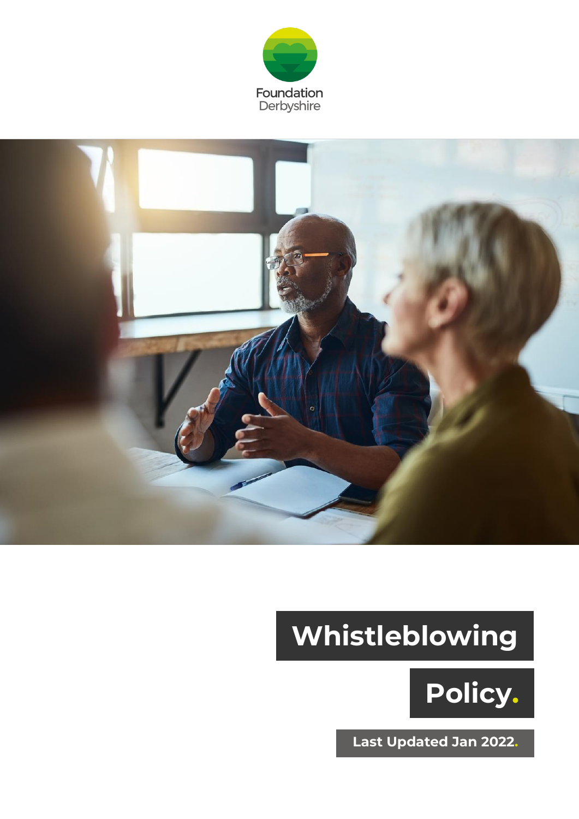



# **Whistleblowing**



**Last Updated Jan 2022.**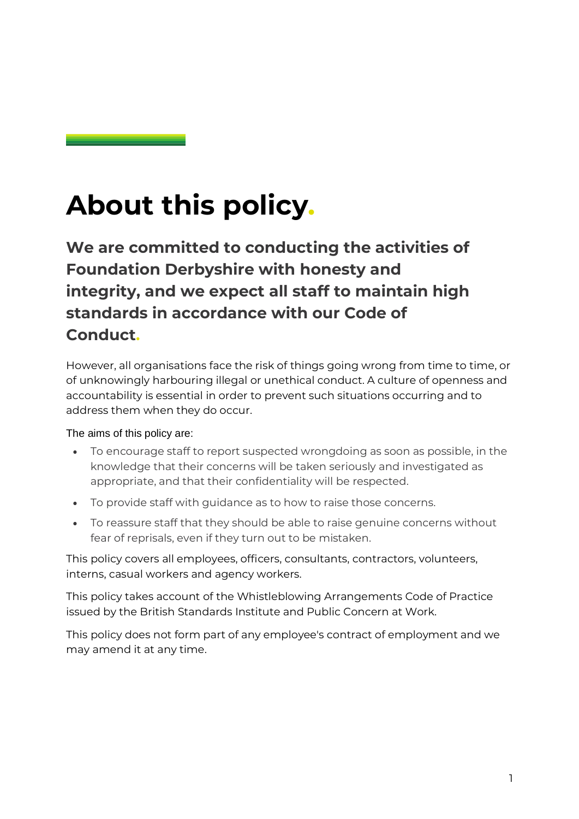## **About this policy.**

**We are committed to conducting the activities of Foundation Derbyshire with honesty and integrity, and we expect all staff to maintain high standards in accordance with our Code of Conduct.**

However, all organisations face the risk of things going wrong from time to time, or of unknowingly harbouring illegal or unethical conduct. A culture of openness and accountability is essential in order to prevent such situations occurring and to address them when they do occur.

#### The aims of this policy are:

- To encourage staff to report suspected wrongdoing as soon as possible, in the knowledge that their concerns will be taken seriously and investigated as appropriate, and that their confidentiality will be respected.
- To provide staff with guidance as to how to raise those concerns.
- To reassure staff that they should be able to raise genuine concerns without fear of reprisals, even if they turn out to be mistaken.

This policy covers all employees, officers, consultants, contractors, volunteers, interns, casual workers and agency workers.

This policy takes account of the Whistleblowing Arrangements Code of Practice issued by the British Standards Institute and Public Concern at Work.

This policy does not form part of any employee's contract of employment and we may amend it at any time.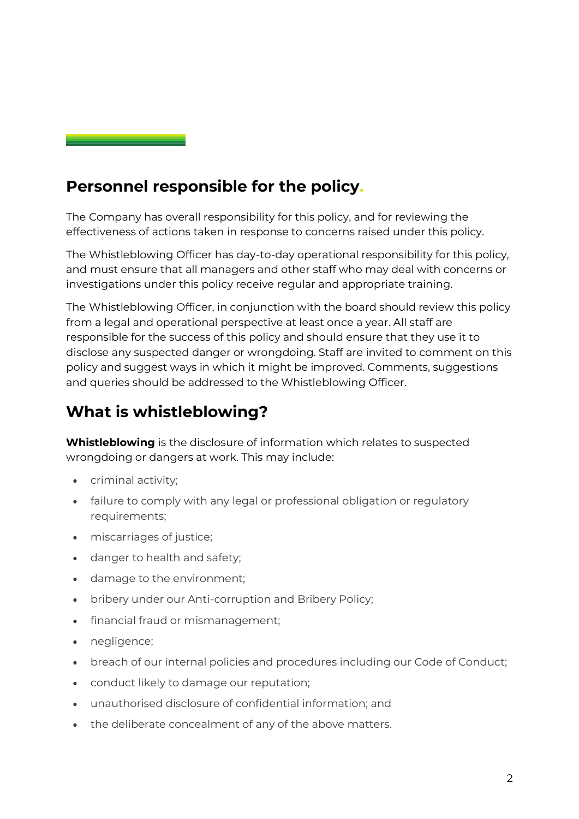#### **Personnel responsible for the policy.**

The Company has overall responsibility for this policy, and for reviewing the effectiveness of actions taken in response to concerns raised under this policy.

The Whistleblowing Officer has day-to-day operational responsibility for this policy, and must ensure that all managers and other staff who may deal with concerns or investigations under this policy receive regular and appropriate training.

The Whistleblowing Officer, in conjunction with the board should review this policy from a legal and operational perspective at least once a year. All staff are responsible for the success of this policy and should ensure that they use it to disclose any suspected danger or wrongdoing. Staff are invited to comment on this policy and suggest ways in which it might be improved. Comments, suggestions and queries should be addressed to the Whistleblowing Officer.

#### **What is whistleblowing?**

**Whistleblowing** is the disclosure of information which relates to suspected wrongdoing or dangers at work. This may include:

- criminal activity;
- failure to comply with any legal or professional obligation or regulatory requirements;
- miscarriages of justice;
- danger to health and safety;
- damage to the environment;
- bribery under our Anti-corruption and Bribery Policy;
- financial fraud or mismanagement;
- negligence;
- breach of our internal policies and procedures including our Code of Conduct;
- conduct likely to damage our reputation;
- unauthorised disclosure of confidential information; and
- the deliberate concealment of any of the above matters.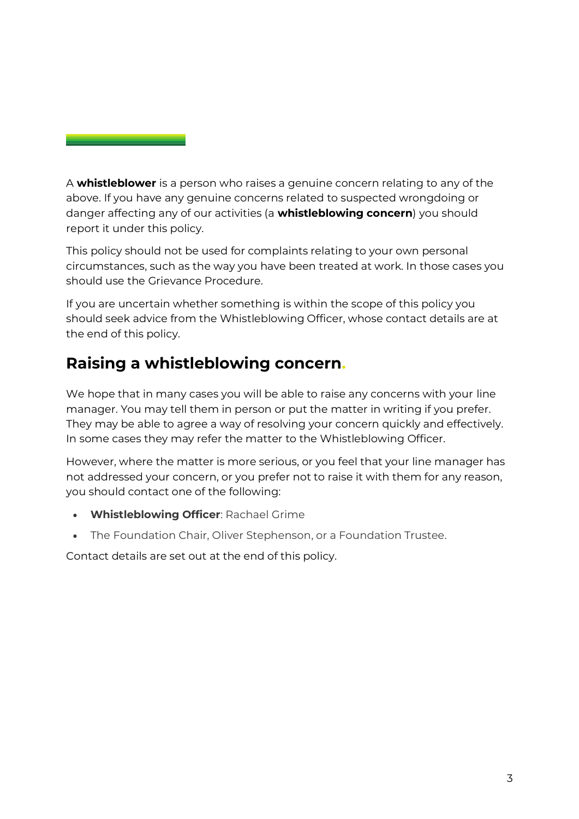A **whistleblower** is a person who raises a genuine concern relating to any of the above. If you have any genuine concerns related to suspected wrongdoing or danger affecting any of our activities (a **whistleblowing concern**) you should report it under this policy.

This policy should not be used for complaints relating to your own personal circumstances, such as the way you have been treated at work. In those cases you should use the Grievance Procedure.

If you are uncertain whether something is within the scope of this policy you should seek advice from the Whistleblowing Officer, whose contact details are at the end of this policy.

#### **Raising a whistleblowing concern.**

We hope that in many cases you will be able to raise any concerns with your line manager. You may tell them in person or put the matter in writing if you prefer. They may be able to agree a way of resolving your concern quickly and effectively. In some cases they may refer the matter to the Whistleblowing Officer.

However, where the matter is more serious, or you feel that your line manager has not addressed your concern, or you prefer not to raise it with them for any reason, you should contact one of the following:

- **Whistleblowing Officer**: Rachael Grime
- The Foundation Chair, Oliver Stephenson, or a Foundation Trustee.

Contact details are set out at the end of this policy.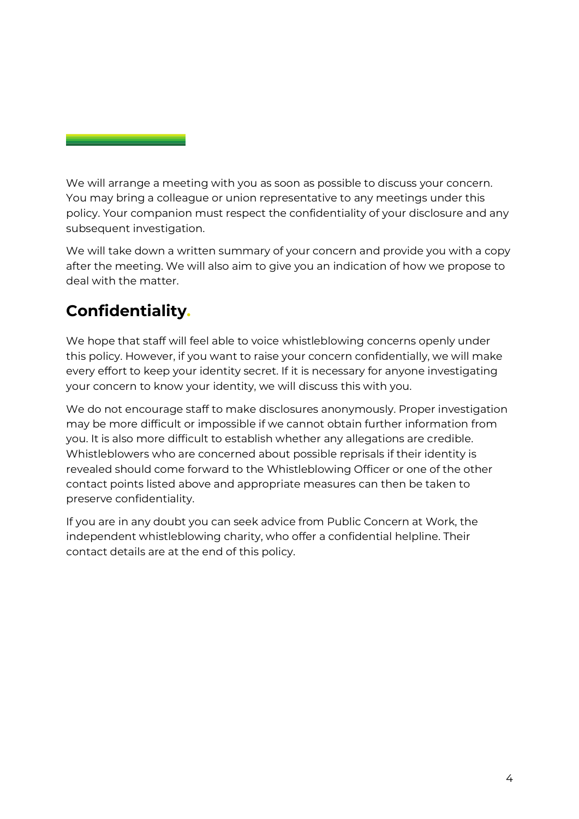We will arrange a meeting with you as soon as possible to discuss your concern. You may bring a colleague or union representative to any meetings under this policy. Your companion must respect the confidentiality of your disclosure and any subsequent investigation.

We will take down a written summary of your concern and provide you with a copy after the meeting. We will also aim to give you an indication of how we propose to deal with the matter.

### **Confidentiality.**

We hope that staff will feel able to voice whistleblowing concerns openly under this policy. However, if you want to raise your concern confidentially, we will make every effort to keep your identity secret. If it is necessary for anyone investigating your concern to know your identity, we will discuss this with you.

We do not encourage staff to make disclosures anonymously. Proper investigation may be more difficult or impossible if we cannot obtain further information from you. It is also more difficult to establish whether any allegations are credible. Whistleblowers who are concerned about possible reprisals if their identity is revealed should come forward to the Whistleblowing Officer or one of the other contact points listed above and appropriate measures can then be taken to preserve confidentiality.

If you are in any doubt you can seek advice from Public Concern at Work, the independent whistleblowing charity, who offer a confidential helpline. Their contact details are at the end of this policy.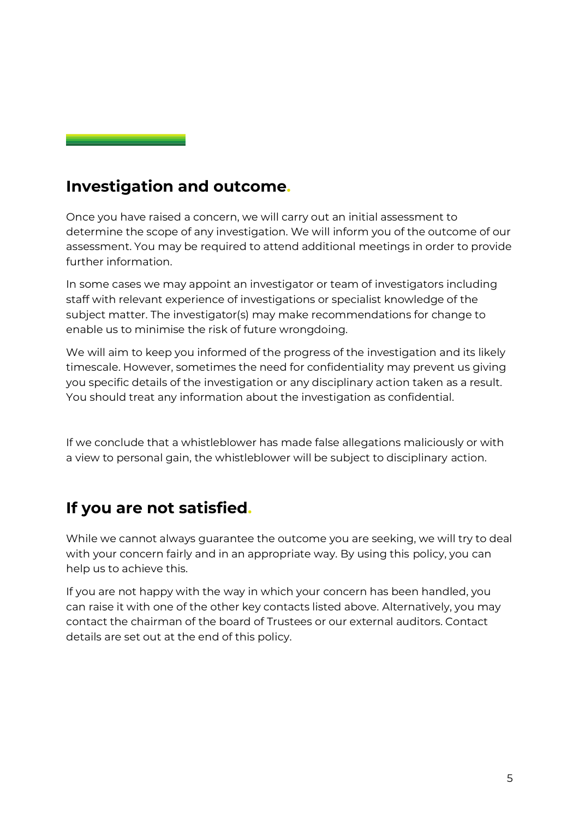#### **Investigation and outcome.**

Once you have raised a concern, we will carry out an initial assessment to determine the scope of any investigation. We will inform you of the outcome of our assessment. You may be required to attend additional meetings in order to provide further information.

In some cases we may appoint an investigator or team of investigators including staff with relevant experience of investigations or specialist knowledge of the subject matter. The investigator(s) may make recommendations for change to enable us to minimise the risk of future wrongdoing.

We will aim to keep you informed of the progress of the investigation and its likely timescale. However, sometimes the need for confidentiality may prevent us giving you specific details of the investigation or any disciplinary action taken as a result. You should treat any information about the investigation as confidential.

If we conclude that a whistleblower has made false allegations maliciously or with a view to personal gain, the whistleblower will be subject to disciplinary action.

#### **If you are not satisfied.**

While we cannot always guarantee the outcome you are seeking, we will try to deal with your concern fairly and in an appropriate way. By using this policy, you can help us to achieve this.

If you are not happy with the way in which your concern has been handled, you can raise it with one of the other key contacts listed above. Alternatively, you may contact the chairman of the board of Trustees or our external auditors. Contact details are set out at the end of this policy.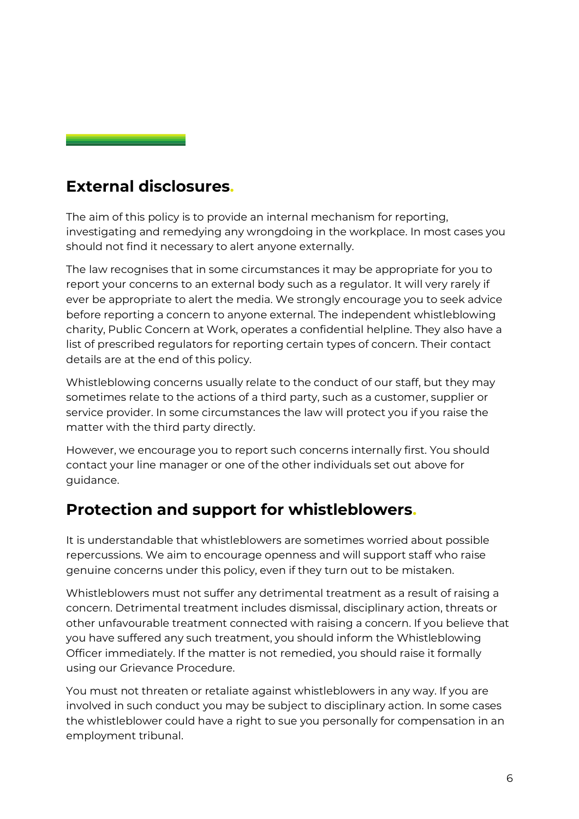#### **External disclosures.**

The aim of this policy is to provide an internal mechanism for reporting, investigating and remedying any wrongdoing in the workplace. In most cases you should not find it necessary to alert anyone externally.

The law recognises that in some circumstances it may be appropriate for you to report your concerns to an external body such as a regulator. It will very rarely if ever be appropriate to alert the media. We strongly encourage you to seek advice before reporting a concern to anyone external. The independent whistleblowing charity, Public Concern at Work, operates a confidential helpline. They also have a list of prescribed regulators for reporting certain types of concern. Their contact details are at the end of this policy.

Whistleblowing concerns usually relate to the conduct of our staff, but they may sometimes relate to the actions of a third party, such as a customer, supplier or service provider. In some circumstances the law will protect you if you raise the matter with the third party directly.

However, we encourage you to report such concerns internally first. You should contact your line manager or one of the other individuals set out above for guidance.

#### **Protection and support for whistleblowers.**

It is understandable that whistleblowers are sometimes worried about possible repercussions. We aim to encourage openness and will support staff who raise genuine concerns under this policy, even if they turn out to be mistaken.

Whistleblowers must not suffer any detrimental treatment as a result of raising a concern. Detrimental treatment includes dismissal, disciplinary action, threats or other unfavourable treatment connected with raising a concern. If you believe that you have suffered any such treatment, you should inform the Whistleblowing Officer immediately. If the matter is not remedied, you should raise it formally using our Grievance Procedure.

You must not threaten or retaliate against whistleblowers in any way. If you are involved in such conduct you may be subject to disciplinary action. In some cases the whistleblower could have a right to sue you personally for compensation in an employment tribunal.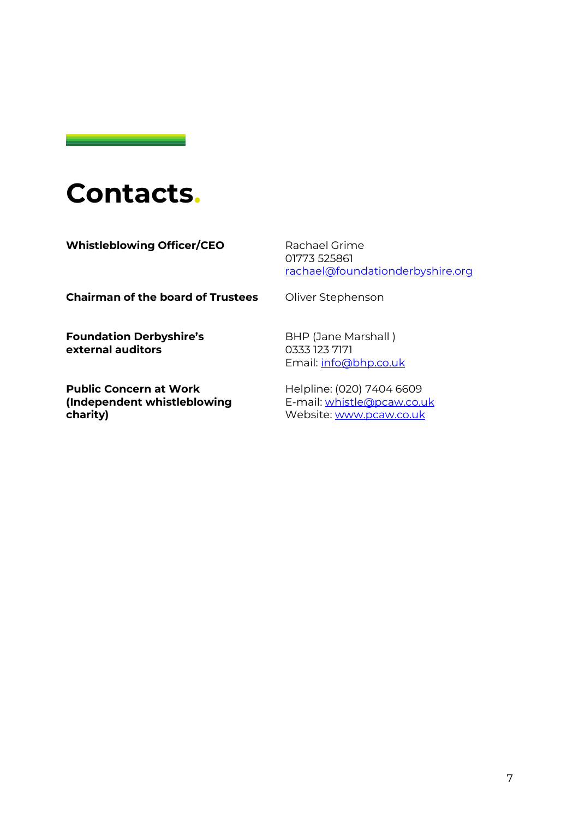### **Contacts.**

**Whistleblowing Officer/CEO** Rachael Grime

01773 525861 [rachael@foundationderbyshire.org](mailto:mailto:rachael@foundationderbyshire.org)

**Chairman of the board of Trustees** Oliver Stephenson

**Foundation Derbyshire's external auditors** 

**Public Concern at Work (Independent whistleblowing charity)** 

BHP (Jane Marshall ) 0333 123 7171 Email: [info@bhp.co.uk](mailto:mailto:info@bhp.co.uk)

Helpline: (020) 7404 6609 E-mail: [whistle@pcaw.co.uk](mailto:mailto:whistle@pcaw.co.uk) Website: [www.pcaw.co.uk](http://www.pcaw.co.uk/)